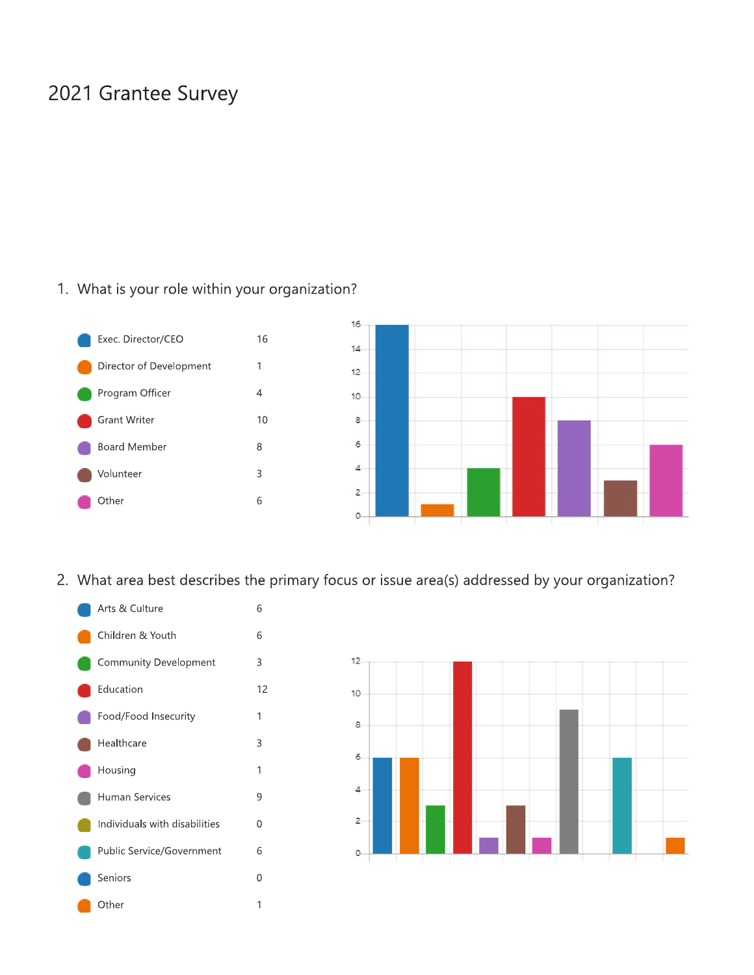## 2021 Grantee Survey

## 1. What is your role within your organization?



2. What area best describes the primary focus or issue area(s) addressed by your organization?



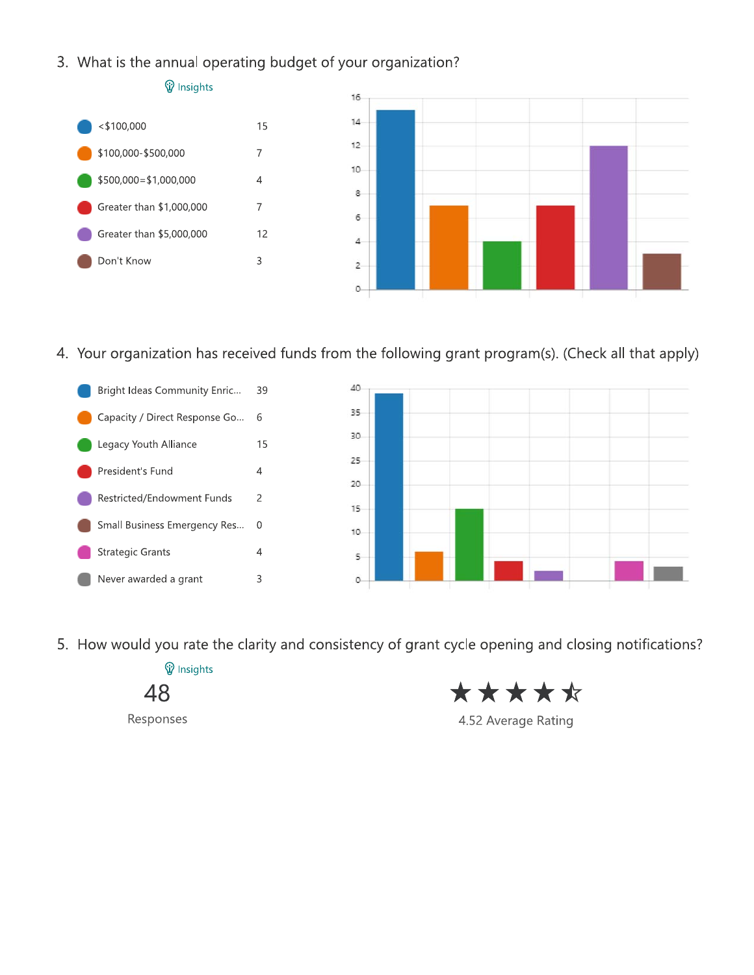3. What is the annual operating budget of your organization?



4. Your organization has received funds from the following grant program(s). (Check all that apply)





5. How would you rate the clarity and consistency of grant cycle opening and closing notifications?

**V** Insights 48

Responses

\*\*\*\*\*

4.52 Average Rating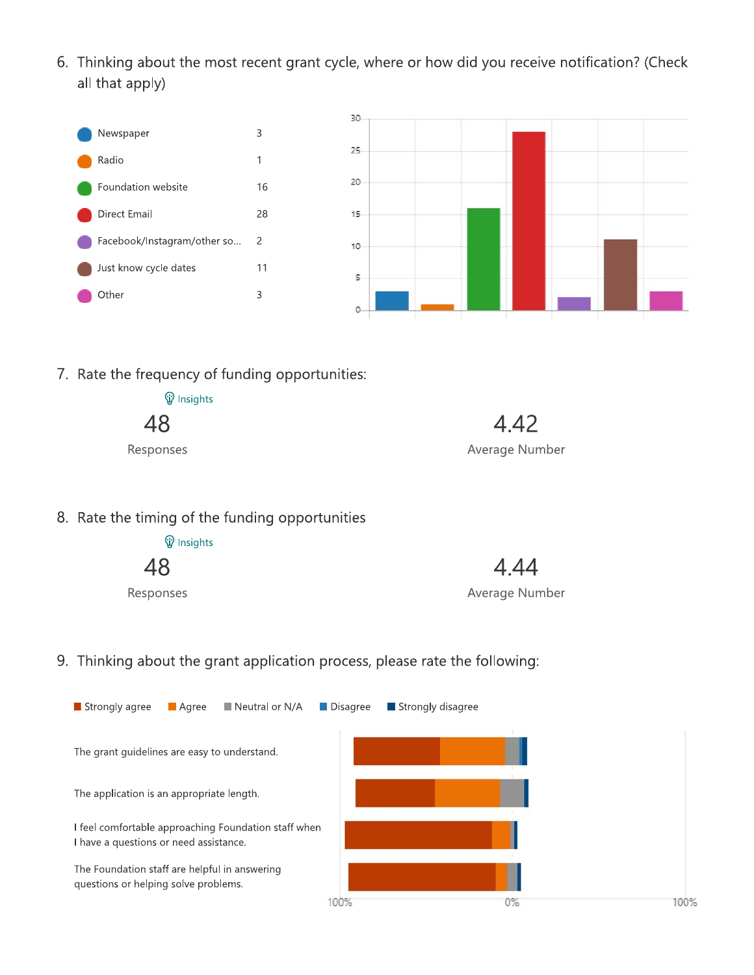6. Thinking about the most recent grant cycle, where or how did you receive notification? (Check all that apply)





7. Rate the frequency of funding opportunities:

| <b>V</b> Insights |                |
|-------------------|----------------|
| 48                | 4.42           |
| Responses         | Average Number |

8. Rate the timing of the funding opportunities

**V** Insights 48

Responses



4.44 Average Number

9. Thinking about the grant application process, please rate the following:

| $\blacksquare$ Neutral or N/A<br>Strongly agree<br><b>■</b> Agree                              | Strongly disagree<br>$\blacksquare$ Disagree |    |      |
|------------------------------------------------------------------------------------------------|----------------------------------------------|----|------|
| The grant quidelines are easy to understand.                                                   |                                              |    |      |
| The application is an appropriate length.                                                      |                                              |    |      |
| I feel comfortable approaching Foundation staff when<br>I have a questions or need assistance. |                                              |    |      |
| The Foundation staff are helpful in answering<br>questions or helping solve problems.          |                                              |    |      |
|                                                                                                | 100%                                         | 0% | 100% |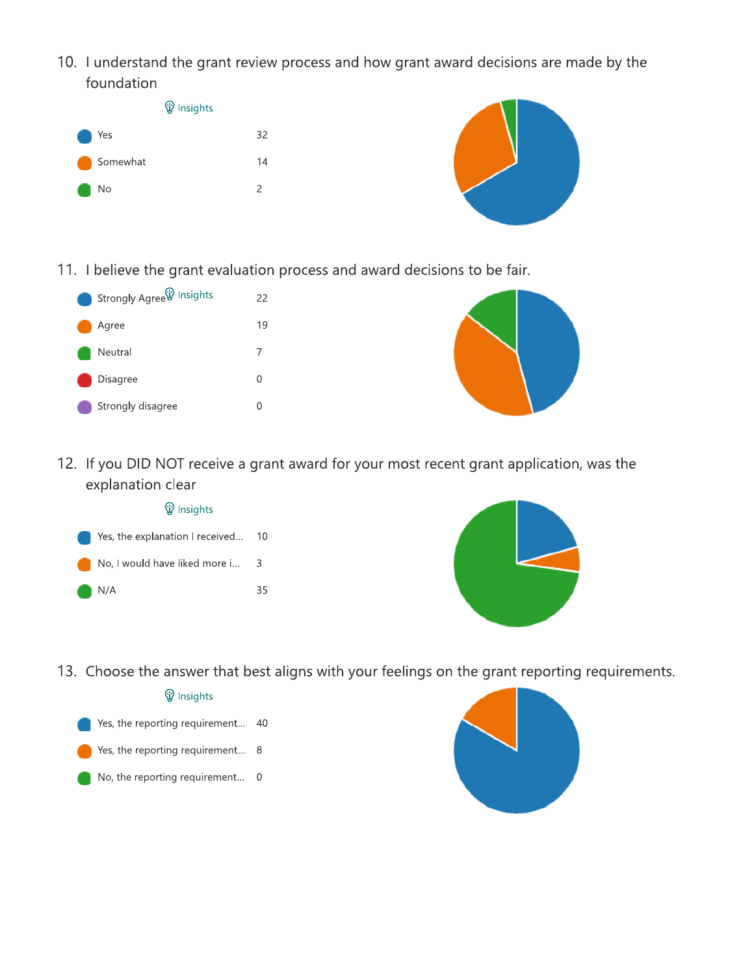10. I understand the grant review process and how grant award decisions are made by the foundation



11. I believe the grant evaluation process and award decisions to be fair.

| Strongly Agree <sup>(y)</sup> Insights | 22 |  |
|----------------------------------------|----|--|
| Agree                                  | 19 |  |
| Neutral                                | 7  |  |
| Disagree                               | O  |  |
| Strongly disagree                      | Ω  |  |



12. If you DID NOT receive a grant award for your most recent grant application, was the explanation clear







13. Choose the answer that best aligns with your feelings on the grant reporting requirements.

## **V** Insights

Yes, the reporting requirement... 40

- Yes, the reporting requirement... 8
- No, the reporting requirement... 0

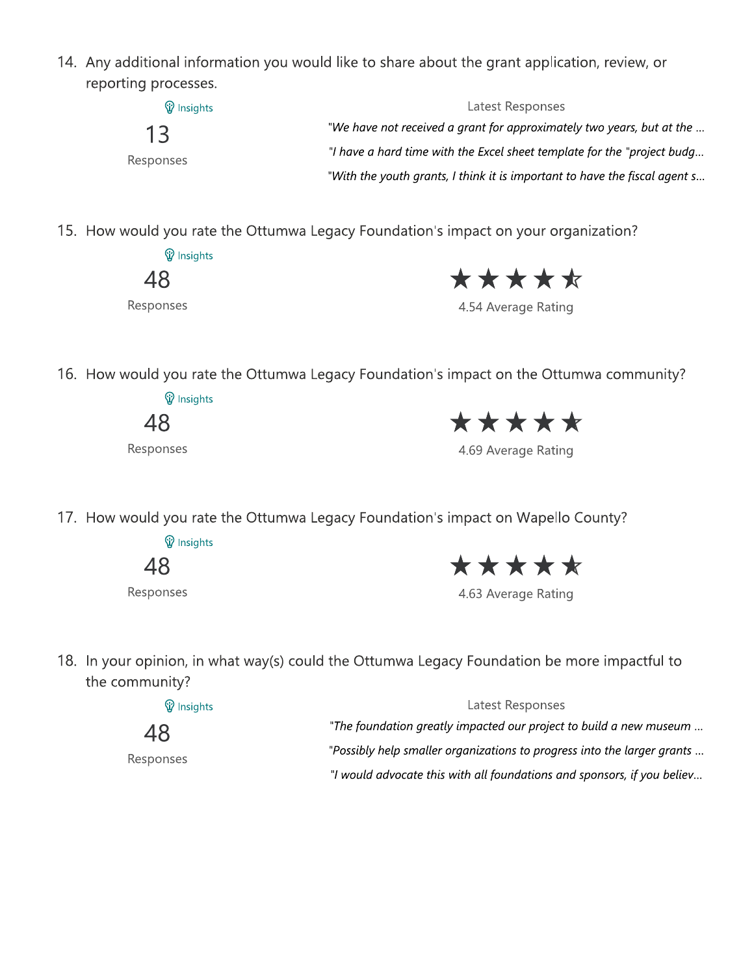T4. Any additional information you would like to share about the grant application, review, or reporting processes.

| <b>W</b> Insights | Latest Responses                                                           |
|-------------------|----------------------------------------------------------------------------|
| 13<br>Responses   | "We have not received a grant for approximately two years, but at the      |
|                   | "I have a hard time with the Excel sheet template for the "project budg    |
|                   | "With the youth grants, I think it is important to have the fiscal agent s |

15. How would you rate the Ottumwa Legacy Foundation's impact on your organization?

**W** Insights 48 Responses

4.54 Average Rating

T6. How would you rate the Ottumwa Legacy Foundation's impact on the Ottumwa community?

**V** Insights 48

Responses



T7. How would you rate the Ottumwa Legacy Foundation's im

 $\mathcal{P}$  Insights

| $\sim$ |  |
|--------|--|
|        |  |

Responses

 $\star \star \star \star \star$ 

'

(\$ T8. Th your opinion, in what way(s) could the Ottumwa Legacy Foundation be more impactful to the community?  $\,$ 4.63 Average Rating<br>Cy Foundation be mo<br>Latest Responses

| <b>W</b> Insights | Latest Responses                                                        |
|-------------------|-------------------------------------------------------------------------|
| 48                | "The foundation greatly impacted our project to build a new museum      |
| Responses         | "Possibly help smaller organizations to progress into the larger grants |
|                   | "I would advocate this with all foundations and sponsors, if you believ |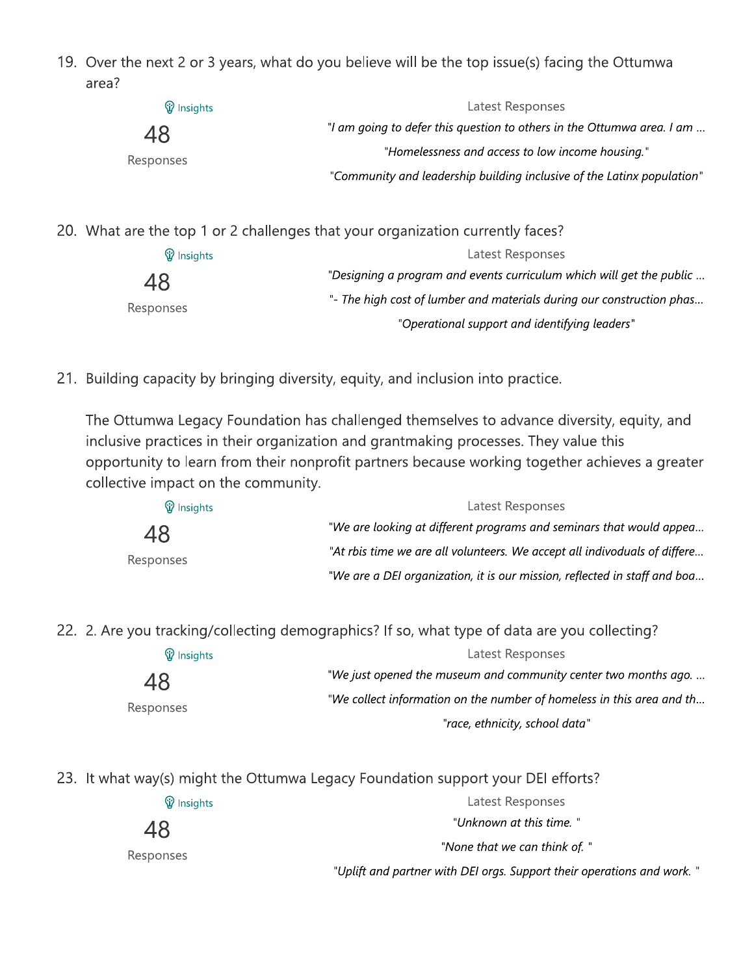19. Over the next 2 or 3 years, what do you believe will be the top issue(s) facing the Ottumwa area?

| <b>W</b> Insights | Latest Responses                                                       |
|-------------------|------------------------------------------------------------------------|
| 48                | "I am going to defer this question to others in the Ottumwa area. I am |
| Responses         | "Homelessness and access to low income housing."                       |
|                   | "Community and leadership building inclusive of the Latinx population" |

20. What are the top T or 2 challenges that your organization currently faces?  $\,$ 

| <b>W</b> Insights | Latest Responses                                                      |
|-------------------|-----------------------------------------------------------------------|
| 48                | "Designing a program and events curriculum which will get the public  |
| Responses         | "- The high cost of lumber and materials during our construction phas |
|                   | "Operational support and identifying leaders"                         |

21. Building capacity by bringing diversity, equity, and inclusion into practice.

48<br>
Responses<br>
21. Building capacity by br<br>
The Ottumwa Legacy F<br>
inclusive practices in the<br>
opportunity to learn free<br>
collective impact on the<br>  $\circledR$  Insights<br>
48<br>
Responses e Ottumwa Legacy Foundation has challenged themselves to advance diversity, equity, and inclusive practices in their organization and grantmaking processes. They value this opportunity to learn from their nonprofit partners because working together achieves a greater collective impact on the community.

| Responses                     | - The nigh cost of tumber and materials during our construction phas<br>"Operational support and identifying leaders"                                                                                                                                              |
|-------------------------------|--------------------------------------------------------------------------------------------------------------------------------------------------------------------------------------------------------------------------------------------------------------------|
|                               | ng capacity by bringing diversity, equity, and inclusion into practice.                                                                                                                                                                                            |
| tive impact on the community. | ttumwa Legacy Foundation has challenged themselves to advance diversity, equity, and<br>ve practices in their organization and grantmaking processes. They value this<br>tunity to learn from their nonprofit partners because working together achieves a greater |
| <b>W</b> Insights             | Latest Responses                                                                                                                                                                                                                                                   |
| 48                            | "We are looking at different programs and seminars that would appea                                                                                                                                                                                                |
| Responses                     | "At rbis time we are all volunteers. We accept all indivoduals of differe                                                                                                                                                                                          |
|                               | "We are a DEI organization, it is our mission, reflected in staff and boa                                                                                                                                                                                          |
|                               |                                                                                                                                                                                                                                                                    |

22. 2. Are you tracking/collecting demographics? If so, what type of data are you collecting?  $\,$ 

| <b>W</b> Insights | Latest Responses                                                      |
|-------------------|-----------------------------------------------------------------------|
| 48                | "We just opened the museum and community center two months ago.       |
| Responses         | "We collect information on the number of homeless in this area and th |
|                   | "race, ethnicity, school data"                                        |

23. It what way(s) might the Ottumwa Legacy Foundation support your DEI efforts?

| <b>W</b> Insights | Latest Responses                                                       |
|-------------------|------------------------------------------------------------------------|
| 48                | "Unknown at this time. "                                               |
| Responses         | "None that we can think of. "                                          |
|                   | "Uplift and partner with DEI orgs. Support their operations and work." |